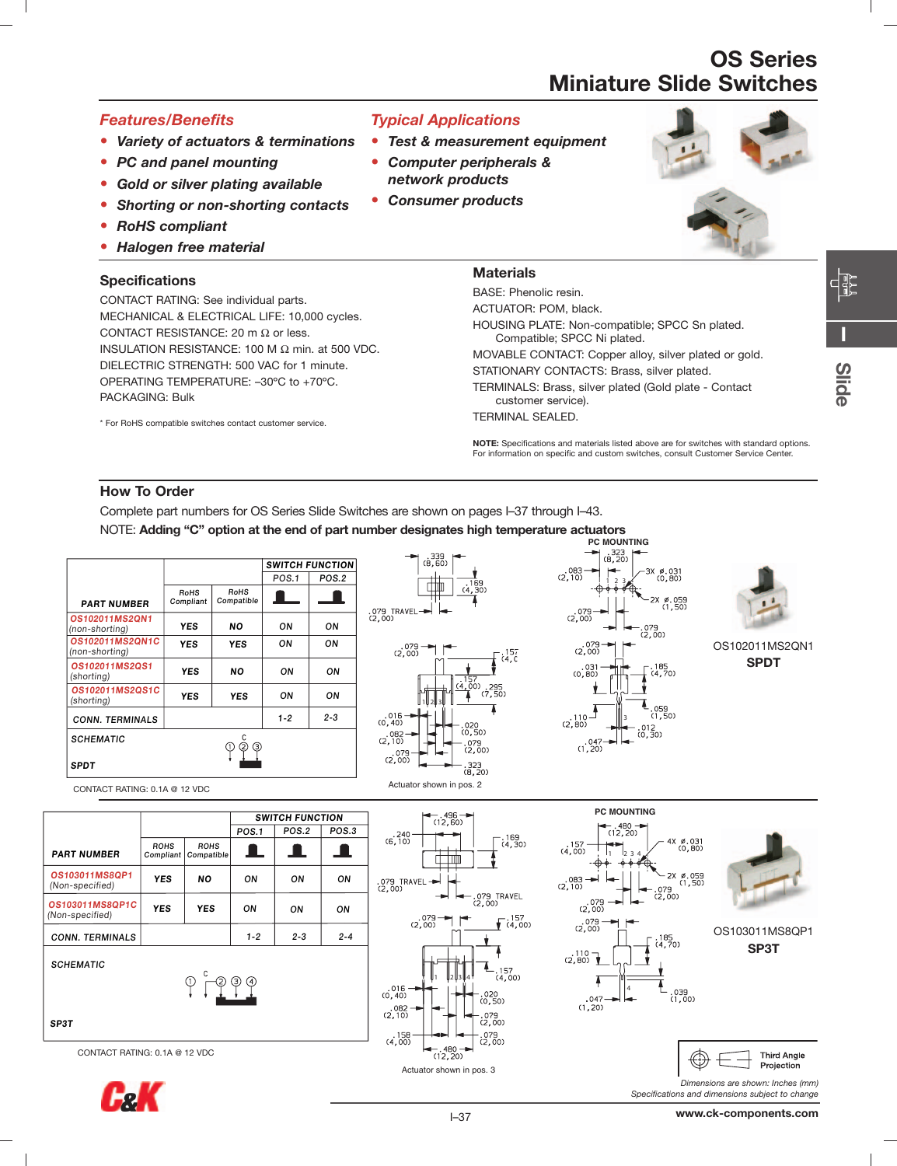#### *Features/Benefits*

- **•** *Variety of actuators & terminations*
- **•** *PC and panel mounting*
- **•** *Gold or silver plating available*
- **•** *Shorting or non-shorting contacts*
- **•** *RoHS compliant*
- **•** *Halogen free material*

#### **Specifications**

CONTACT RATING: See individual parts. MECHANICAL & ELECTRICAL LIFE: 10,000 cycles. CONTACT RESISTANCE: 20 m  $\Omega$  or less. INSULATION RESISTANCE: 100 M Ω min. at 500 VDC. DIELECTRIC STRENGTH: 500 VAC for 1 minute. OPERATING TEMPERATURE: –30ºC to +70ºC. PACKAGING: Bulk

\* For RoHS compatible switches contact customer service.

#### *Typical Applications*

- **•** *Test & measurement equipment*
- **•** *Computer peripherals & network products*
- **•** *Consumer products*



#### **Materials**

BASE: Phenolic resin. ACTUATOR: POM, black. HOUSING PLATE: Non-compatible; SPCC Sn plated. Compatible; SPCC Ni plated. MOVABLE CONTACT: Copper alloy, silver plated or gold. STATIONARY CONTACTS: Brass, silver plated. TERMINALS: Brass, silver plated (Gold plate - Contact customer service). TERMINAL SEALED.

**NOTE:** Specifications and materials listed above are for switches with standard options. For information on specific and custom switches, consult Customer Service Center.

#### **How To Order**

Complete part numbers for OS Series Slide Switches are shown on pages I–37 through I–43.

NOTE: **Adding "C" option at the end of part number designates high temperature actuators**

|                                   |                   |                    |         | <b>SWITCH FUNCTION</b> |
|-----------------------------------|-------------------|--------------------|---------|------------------------|
|                                   |                   |                    | POS.1   | POS.2                  |
| <b>PART NUMBER</b>                | RoHS<br>Compliant | RoHS<br>Compatible |         |                        |
| OS102011MS2QN1<br>(non-shorting)  | <b>YES</b>        | <b>NO</b>          | ON      | OΝ                     |
| 0S102011MS20N1C<br>(non-shorting) | <b>YES</b>        | <b>YES</b>         | ON      | OΝ                     |
| 0S102011MS20S1<br>(shorting)      | <b>YES</b>        | NΟ                 | ON      | OΝ                     |
| 0S102011MS2QS1C<br>(shorting)     | YES               | YES                | ON      | OΝ                     |
| <b>CONN. TERMINALS</b>            |                   |                    | $1 - 2$ | $2 - 3$                |
| <b>SCHEMATIC</b>                  |                   | Э                  |         |                        |
| <b>SPDT</b>                       |                   |                    |         |                        |



2339<br>02. R.





OS102011MS2QN1 **SPDT**

CONTACT RATING: 0.1A @ 12 VDC

|                                    |                          |                           | <b>SWITCH FUNCTION</b> |              |         |
|------------------------------------|--------------------------|---------------------------|------------------------|--------------|---------|
|                                    |                          |                           | <b>POS.1</b>           | <b>POS.2</b> | POS.3   |
| <b>PART NUMBER</b>                 | <b>ROHS</b><br>Compliant | <b>ROHS</b><br>Compatible | ш                      | ┸            | - 1     |
| OS103011MS8QP1<br>(Non-specified)  | <b>YES</b>               | <b>NO</b>                 | ON                     | ON           | ON      |
| 0S103011MS80P1C<br>(Non-specified) | <b>YES</b>               | <b>YES</b>                | ON                     | ON           | ON      |
| <b>CONN. TERMINALS</b>             |                          |                           | $1 - 2$                | $2 - 3$      | $2 - 4$ |
| <b>SCHEMATIC</b>                   |                          | าา                        | (ج<br>(4)              |              |         |









OS103011MS8QP1 **SP3T**





*Specifications and dimensions subject to change*

**I**



CONTACT RATING: 0.1A @ 12 VDC

**SP3T**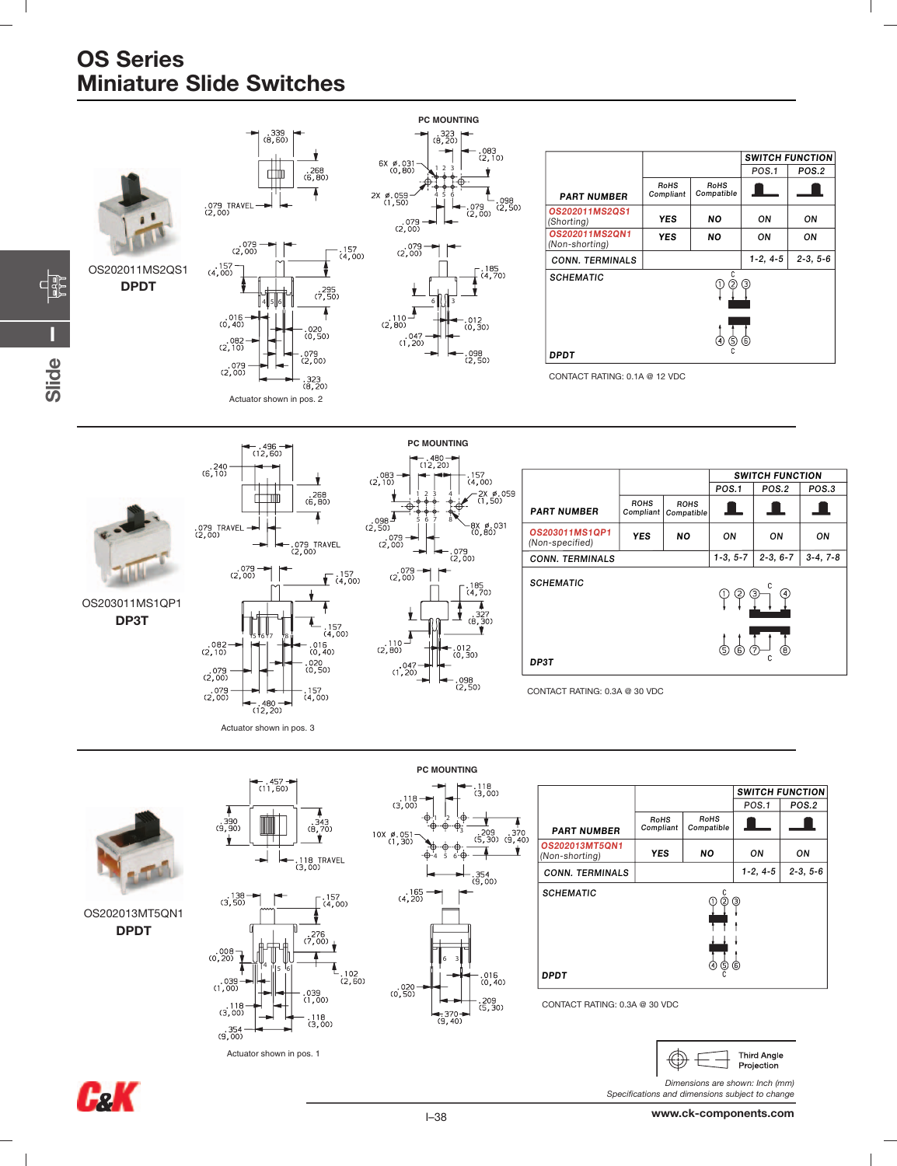

Actuator shown in pos. 1

 $(9,00)$ 

 $\frac{118}{(3.00)}$ 

*Dimensions are shown: Inch (mm) Specifications and dimensions subject to change*



 $\Box$ 

**Third Anale** Projection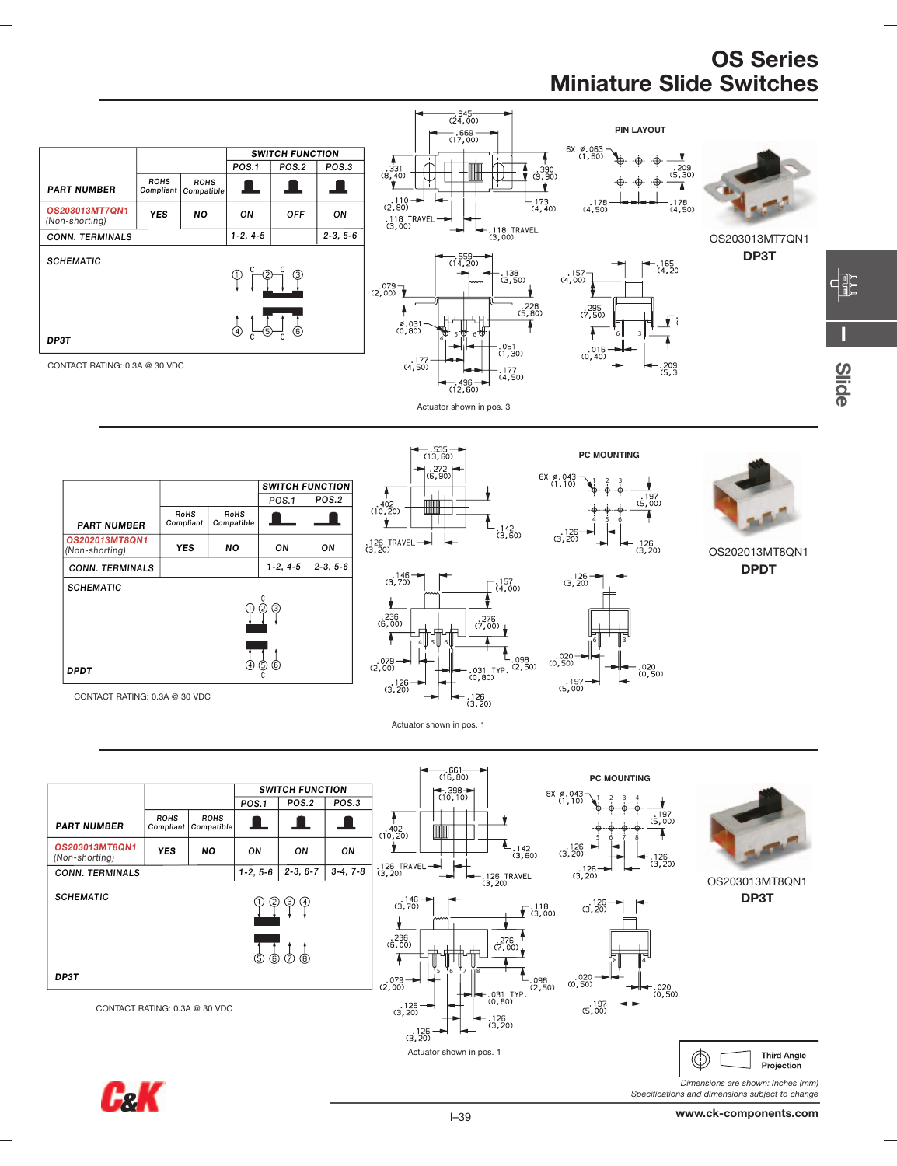**I**

**Slide**



 $\mathbb{R}^n$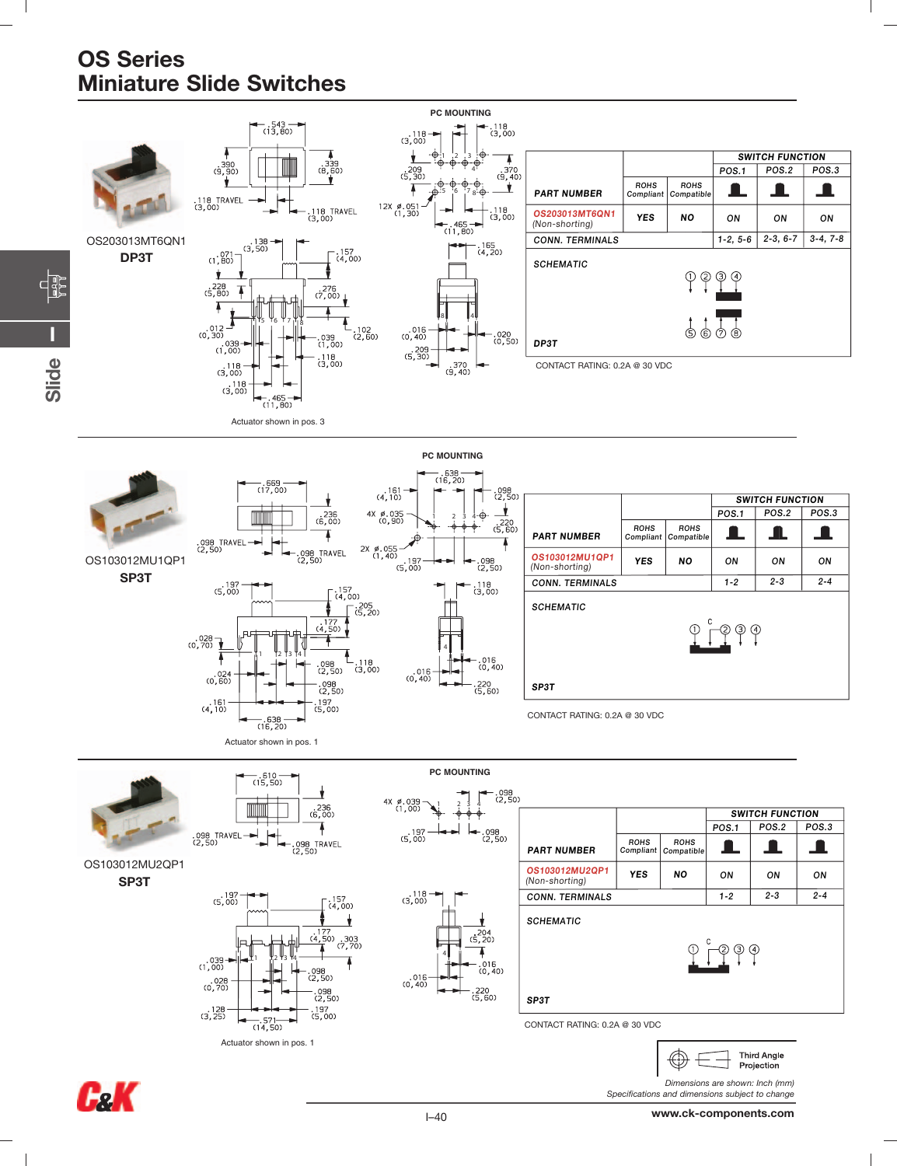**I**

**FB** 

**Slide**

 $\sim$  1

![](_page_3_Figure_1.jpeg)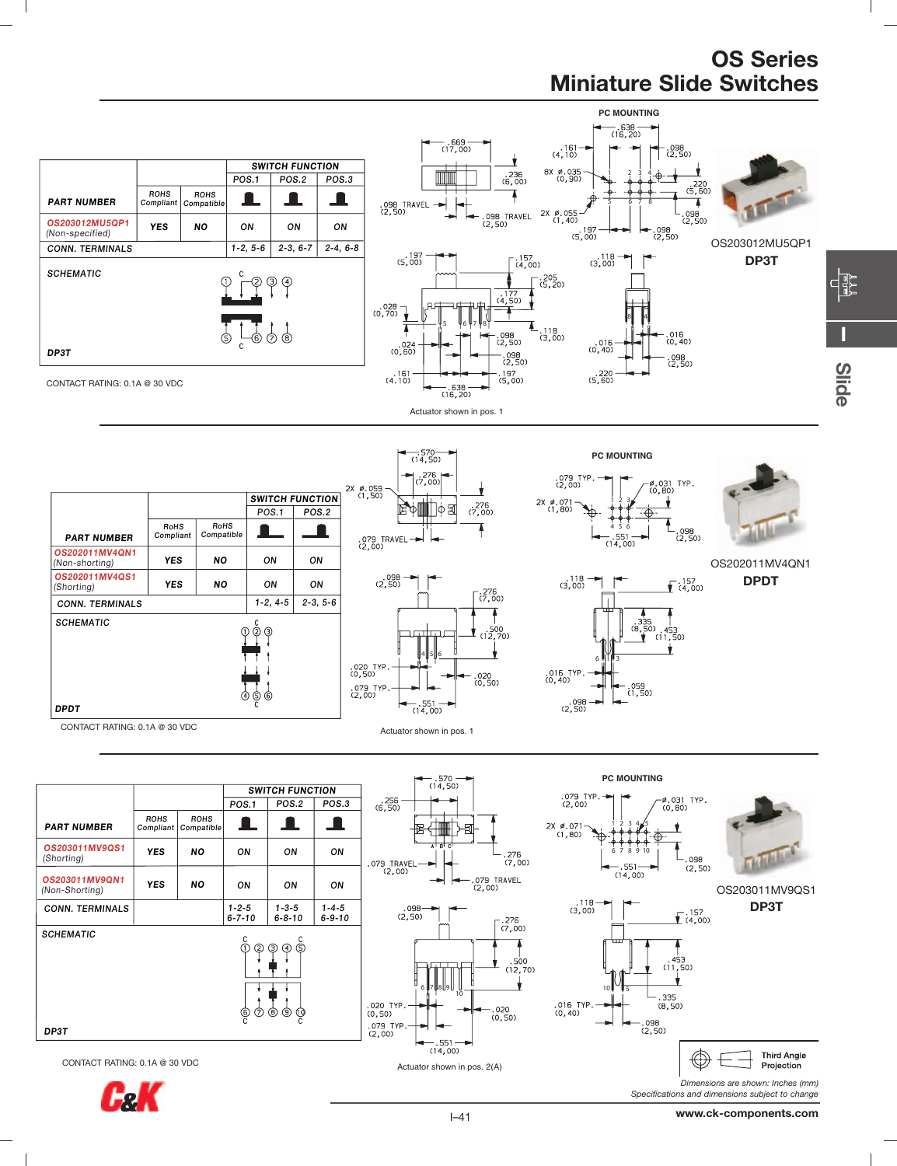**I**

4

**Slide**

![](_page_4_Figure_1.jpeg)

**FeK** 

 $\blacksquare$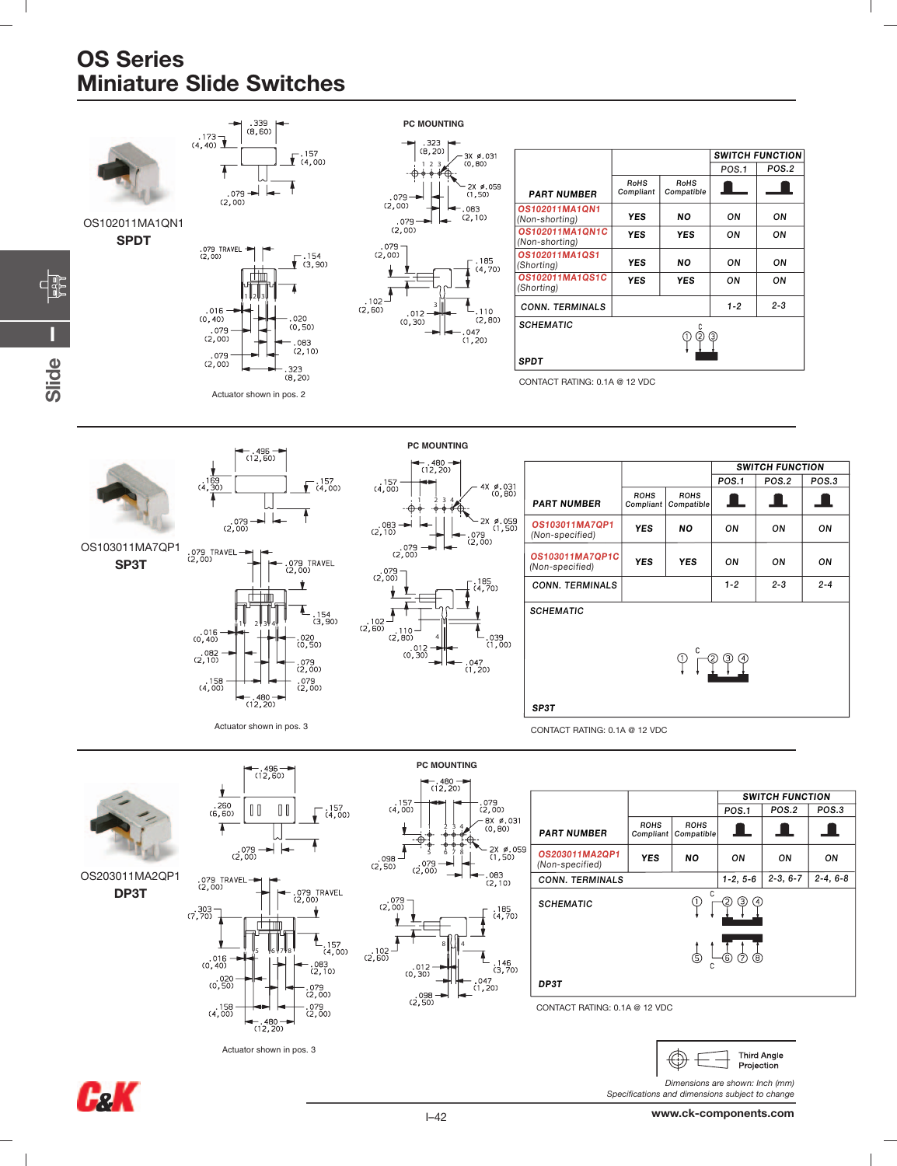$\mathbb{R}^n$ 

![](_page_5_Figure_1.jpeg)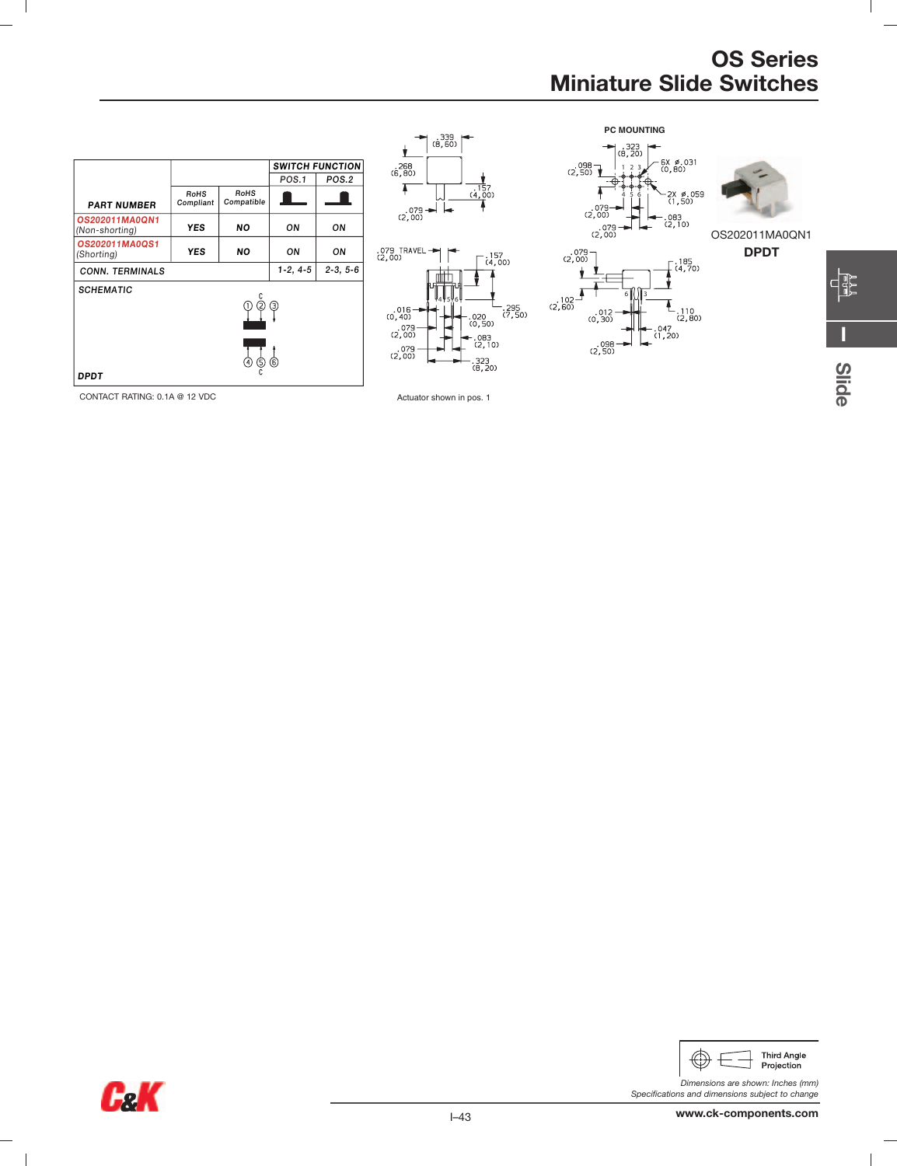**I**

E

 $\mathbf{I}$ 

**Slide**

![](_page_6_Figure_1.jpeg)

 $\mathbf{I}$ 

![](_page_6_Figure_3.jpeg)

![](_page_6_Picture_4.jpeg)

*Dimensions are shown: Inches (mm)*

*Specifications and dimensions subject to change*

 $\sim$  1

 $\overline{1}$